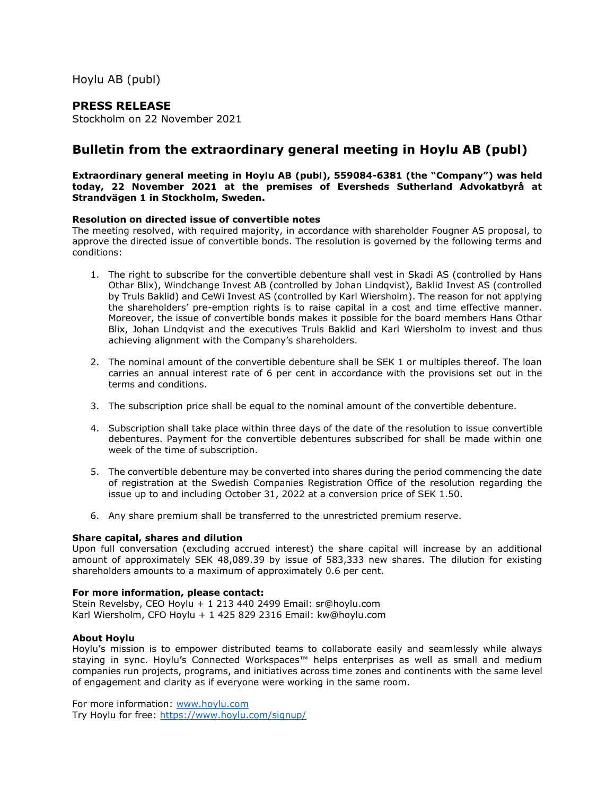Hoylu AB (publ)

# **PRESS RELEASE**

Stockholm on 22 November 2021

# **Bulletin from the extraordinary general meeting in Hoylu AB (publ)**

#### **Extraordinary general meeting in Hoylu AB (publ), 559084-6381 (the "Company") was held today, 22 November 2021 at the premises of Eversheds Sutherland Advokatbyrå at Strandvägen 1 in Stockholm, Sweden.**

#### **Resolution on directed issue of convertible notes**

The meeting resolved, with required majority, in accordance with shareholder Fougner AS proposal, to approve the directed issue of convertible bonds. The resolution is governed by the following terms and conditions:

- 1. The right to subscribe for the convertible debenture shall vest in Skadi AS (controlled by Hans Othar Blix), Windchange Invest AB (controlled by Johan Lindqvist), Baklid Invest AS (controlled by Truls Baklid) and CeWi Invest AS (controlled by Karl Wiersholm). The reason for not applying the shareholders' pre-emption rights is to raise capital in a cost and time effective manner. Moreover, the issue of convertible bonds makes it possible for the board members Hans Othar Blix, Johan Lindqvist and the executives Truls Baklid and Karl Wiersholm to invest and thus achieving alignment with the Company's shareholders.
- 2. The nominal amount of the convertible debenture shall be SEK 1 or multiples thereof. The loan carries an annual interest rate of 6 per cent in accordance with the provisions set out in the terms and conditions.
- 3. The subscription price shall be equal to the nominal amount of the convertible debenture.
- 4. Subscription shall take place within three days of the date of the resolution to issue convertible debentures. Payment for the convertible debentures subscribed for shall be made within one week of the time of subscription.
- 5. The convertible debenture may be converted into shares during the period commencing the date of registration at the Swedish Companies Registration Office of the resolution regarding the issue up to and including October 31, 2022 at a conversion price of SEK 1.50.
- 6. Any share premium shall be transferred to the unrestricted premium reserve.

## **Share capital, shares and dilution**

Upon full conversation (excluding accrued interest) the share capital will increase by an additional amount of approximately SEK 48,089.39 by issue of 583,333 new shares. The dilution for existing shareholders amounts to a maximum of approximately 0.6 per cent.

#### **For more information, please contact:**

Stein Revelsby, CEO Hoylu + 1 213 440 2499 Email: sr@hoylu.com Karl Wiersholm, CFO Hoylu + 1 425 829 2316 Email: kw@hoylu.com

## **About Hoylu**

Hoylu's mission is to empower distributed teams to collaborate easily and seamlessly while always staying in sync. Hoylu's Connected Workspaces™ helps enterprises as well as small and medium companies run projects, programs, and initiatives across time zones and continents with the same level of engagement and clarity as if everyone were working in the same room.

For more information: [www.hoylu.com](http://www.hoylu.com/) Try Hoylu for free:<https://www.hoylu.com/signup/>